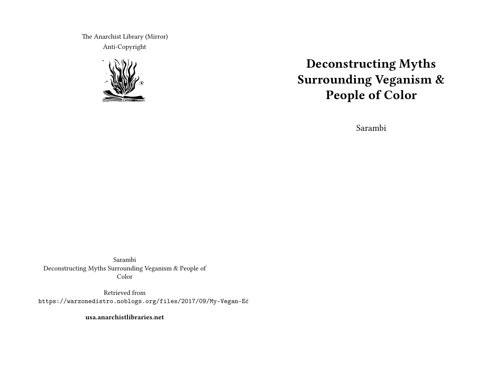The Anarchist Library (Mirror) Anti-Copyright



# **Deconstructing Myths Surrounding Veganism & People of Color**

Sarambi

Sarambi Deconstructing Myths Surrounding Veganism & People of Color

Retrieved from https://warzonedistro.noblogs.org/files/2017/09/My-Vegan-Ed

**usa.anarchistlibraries.net**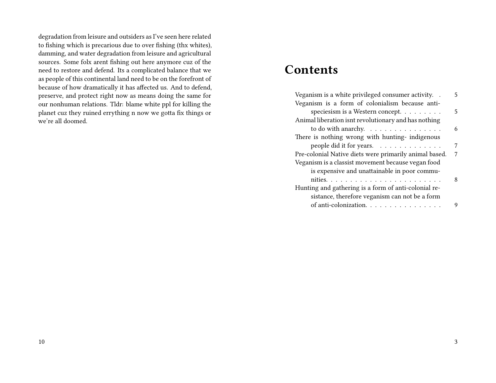degradation from leisure and outsiders as I've seen here related to fishing which is precarious due to over fishing (thx whites), damming, and water degradation from leisure and agricultural sources. Some folx arent fishing out here anymore cuz of the need to restore and defend. Its a complicated balance that we as people of this continental land need to be on the forefront of because of how dramatically it has affected us. And to defend, preserve, and protect right now as means doing the same for our nonhuman relations. Tldr: blame white ppl for killing the planet cuz they ruined errything n now we gotta fix things or we're all doomed.

# **Contents**

| Veganism is a white privileged consumer activity.      | 5. |
|--------------------------------------------------------|----|
| Veganism is a form of colonialism because anti-        |    |
| speciesism is a Western concept.                       | 5  |
| Animal liberation isnt revolutionary and has nothing   |    |
| to do with anarchy.                                    | 6  |
| There is nothing wrong with hunting- indigenous        |    |
| people did it for years.                               | 7  |
| Pre-colonial Native diets were primarily animal based. | 7  |
| Veganism is a classist movement because vegan food     |    |
| is expensive and unattainable in poor commu-           |    |
|                                                        | 8  |
| Hunting and gathering is a form of anti-colonial re-   |    |
| sistance, therefore veganism can not be a form         |    |
| of anti-colonization.                                  | 9  |
|                                                        |    |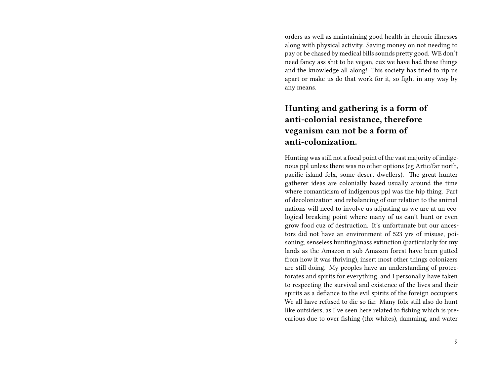orders as well as maintaining good health in chronic illnesses along with physical activity. Saving money on not needing to pay or be chased by medical bills sounds pretty good. WE don't need fancy ass shit to be vegan, cuz we have had these things and the knowledge all along! This society has tried to rip us apart or make us do that work for it, so fight in any way by any means.

# **Hunting and gathering is a form of anti-colonial resistance, therefore veganism can not be a form of anti-colonization.**

Hunting was still not a focal point of the vast majority of indigenous ppl unless there was no other options (eg Artic/far north, pacific island folx, some desert dwellers). The great hunter gatherer ideas are colonially based usually around the time where romanticism of indigenous ppl was the hip thing. Part of decolonization and rebalancing of our relation to the animal nations will need to involve us adjusting as we are at an ecological breaking point where many of us can't hunt or even grow food cuz of destruction. It's unfortunate but our ancestors did not have an environment of 523 yrs of misuse, poisoning, senseless hunting/mass extinction (particularly for my lands as the Amazon n sub Amazon forest have been gutted from how it was thriving), insert most other things colonizers are still doing. My peoples have an understanding of protectorates and spirits for everything, and I personally have taken to respecting the survival and existence of the lives and their spirits as a defiance to the evil spirits of the foreign occupiers. We all have refused to die so far. Many folx still also do hunt like outsiders, as I've seen here related to fishing which is precarious due to over fishing (thx whites), damming, and water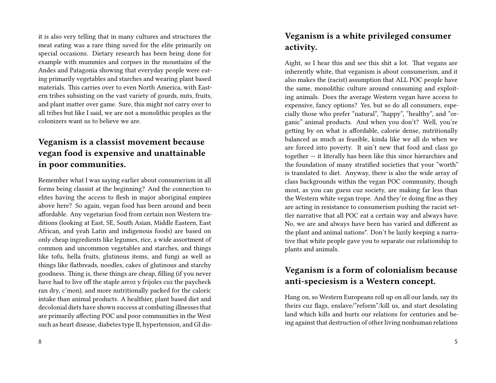it is also very telling that in many cultures and structures the meat eating was a rare thing saved for the elite primarily on special occasions. Dietary research has been being done for example with mummies and corpses in the mountains of the Andes and Patagonia showing that everyday people were eating primarily vegetables and starches and wearing plant based materials. This carries over to even North America, with Eastern tribes subsisting on the vast variety of gourds, nuts, fruits, and plant matter over game. Sure, this might not carry over to all tribes but like I said, we are not a monolithic peoples as the colonizers want us to believe we are.

# **Veganism is a classist movement because vegan food is expensive and unattainable in poor communities.**

Remember what I was saying earlier about consumerism in all forms being classist at the beginning? And the connection to elites having the access to flesh in major aboriginal empires above here? So again, vegan food has been around and been affordable. Any vegetarian food from certain non Western traditions (looking at East, SE, South Asian, Middle Eastern, East African, and yeah Latin and indigenous foods) are based on only cheap ingredients like legumes, rice, a wide assortment of common and uncommon vegetables and starches, and things like tofu, hella fruits, glutinous items, and fungi as well as things like flatbreads, noodles, cakes of glutinous and starchy goodness. Thing is, these things are cheap, filling (if you never have had to live off the staple arroz y frijoles cuz the paycheck ran dry, c'mon), and more nutritionally packed for the caloric intake than animal products. A healthier, plant based diet and decolonial diets have shown success at combating illnesses that are primarily affecting POC and poor communities in the West such as heart disease, diabetes type II, hypertension, and GI dis-

#### **Veganism is a white privileged consumer activity.**

Aight, so I hear this and see this shit a lot. That vegans are inherently white, that veganism is about consumerism, and it also makes the (racist) assumption that ALL POC people have the same, monolithic culture around consuming and exploiting animals. Does the average Western vegan have access to expensive, fancy options? Yes, but so do all consumers, especially those who prefer "natural", "happy", "healthy", and "organic" animal products. And when you don't? Well, you're getting by on what is affordable, calorie dense, nutritionally balanced as much as feasible, kinda like we all do when we are forced into poverty. It ain't new that food and class go together — it literally has been like this since hierarchies and the foundation of many stratified societies that your "worth" is translated to diet. Anyway, there is also the wide array of class backgrounds within the vegan POC community, though most, as you can guess cuz society, are making far less than the Western white vegan trope. And they're doing fine as they are acting in resistance to consumerism pushing the racist settler narrative that all POC eat a certain way and always have. No, we are and always have been has varied and different as the plant and animal nations\*. Don't be lazily keeping a narrative that white people gave you to separate our relationship to plants and animals.

## **Veganism is a form of colonialism because anti-speciesism is a Western concept.**

Hang on, so Western Europeans roll up on all our lands, say its theirs cuz flags, enslave/"reform"/kill us, and start desolating land which kills and hurts our relations for centuries and being against that destruction of other living nonhuman relations